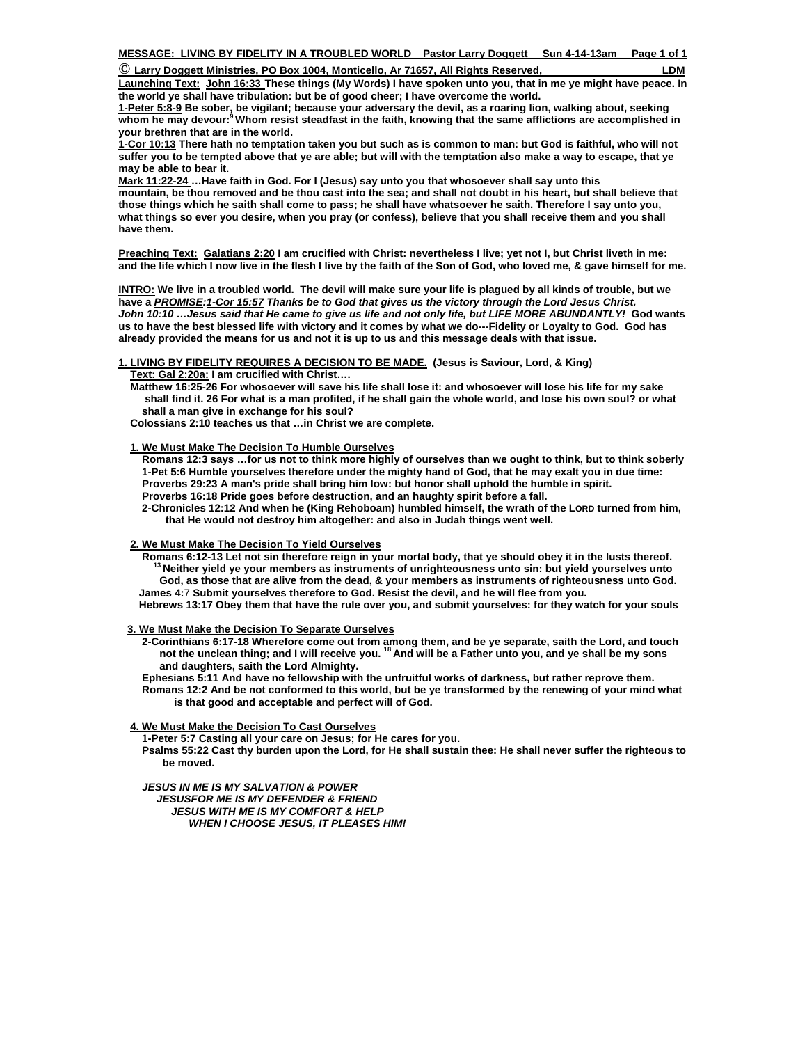| $\mathbb O$ Larry Doggett Ministries, PO Box 1004, Monticello, Ar 71657, All Rights Reserved, | ∟DM |
|-----------------------------------------------------------------------------------------------|-----|
|-----------------------------------------------------------------------------------------------|-----|

**Launching Text: John 16:33 These things (My Words) I have spoken unto you, that in me ye might have peace. In the world ye shall have tribulation: but be of good cheer; I have overcome the world.** 

**1-Peter 5:8-9 Be sober, be vigilant; because your adversary the devil, as a roaring lion, walking about, seeking whom he may devour:9 Whom resist steadfast in the faith, knowing that the same afflictions are accomplished in your brethren that are in the world.**

**1-Cor 10:13 There hath no temptation taken you but such as is common to man: but God is faithful, who will not suffer you to be tempted above that ye are able; but will with the temptation also make a way to escape, that ye may be able to bear it.** 

**Mark 11:22-24 …Have faith in God. For I (Jesus) say unto you that whosoever shall say unto this mountain, be thou removed and be thou cast into the sea; and shall not doubt in his heart, but shall believe that those things which he saith shall come to pass; he shall have whatsoever he saith. Therefore I say unto you, what things so ever you desire, when you pray (or confess), believe that you shall receive them and you shall have them.** 

**Preaching Text: Galatians 2:20 I am crucified with Christ: nevertheless I live; yet not I, but Christ liveth in me: and the life which I now live in the flesh I live by the faith of the Son of God, who loved me, & gave himself for me.** 

**INTRO: We live in a troubled world. The devil will make sure your life is plagued by all kinds of trouble, but we have a** *PROMISE:1-Cor 15:57 Thanks be to God that gives us the victory through the Lord Jesus Christ. John 10:10 …Jesus said that He came to give us life and not only life, but LIFE MORE ABUNDANTLY!* **God wants us to have the best blessed life with victory and it comes by what we do---Fidelity or Loyalty to God. God has already provided the means for us and not it is up to us and this message deals with that issue.** 

**1. LIVING BY FIDELITY REQUIRES A DECISION TO BE MADE. (Jesus is Saviour, Lord, & King)** 

 **Text: Gal 2:20a: I am crucified with Christ….** 

 **Matthew 16:25-26 For whosoever will save his life shall lose it: and whosoever will lose his life for my sake shall find it. 26 For what is a man profited, if he shall gain the whole world, and lose his own soul? or what shall a man give in exchange for his soul?** 

 **Colossians 2:10 teaches us that …in Christ we are complete.** 

# **1. We Must Make The Decision To Humble Ourselves**

 **Romans 12:3 says …for us not to think more highly of ourselves than we ought to think, but to think soberly 1-Pet 5:6 Humble yourselves therefore under the mighty hand of God, that he may exalt you in due time: Proverbs 29:23 A man's pride shall bring him low: but honor shall uphold the humble in spirit. Proverbs 16:18 Pride goes before destruction, and an haughty spirit before a fall.** 

 **2-Chronicles 12:12 And when he (King Rehoboam) humbled himself, the wrath of the LORD turned from him, that He would not destroy him altogether: and also in Judah things went well.** 

## **2. We Must Make The Decision To Yield Ourselves**

 **Romans 6:12-13 Let not sin therefore reign in your mortal body, that ye should obey it in the lusts thereof. 13 Neither yield ye your members as instruments of unrighteousness unto sin: but yield yourselves unto God, as those that are alive from the dead, & your members as instruments of righteousness unto God. James 4:**7 **Submit yourselves therefore to God. Resist the devil, and he will flee from you.** 

 **Hebrews 13:17 Obey them that have the rule over you, and submit yourselves: for they watch for your souls** 

 **3. We Must Make the Decision To Separate Ourselves**

 **2-Corinthians 6:17-18 Wherefore come out from among them, and be ye separate, saith the Lord, and touch not the unclean thing; and I will receive you. 18 And will be a Father unto you, and ye shall be my sons and daughters, saith the Lord Almighty.** 

 **Ephesians 5:11 And have no fellowship with the unfruitful works of darkness, but rather reprove them. Romans 12:2 And be not conformed to this world, but be ye transformed by the renewing of your mind what is that good and acceptable and perfect will of God.** 

# **4. We Must Make the Decision To Cast Ourselves**

 **1-Peter 5:7 Casting all your care on Jesus; for He cares for you.** 

 **Psalms 55:22 Cast thy burden upon the Lord, for He shall sustain thee: He shall never suffer the righteous to be moved.** 

*JESUS IN ME IS MY SALVATION & POWER JESUSFOR ME IS MY DEFENDER & FRIEND JESUS WITH ME IS MY COMFORT & HELP WHEN I CHOOSE JESUS, IT PLEASES HIM!*